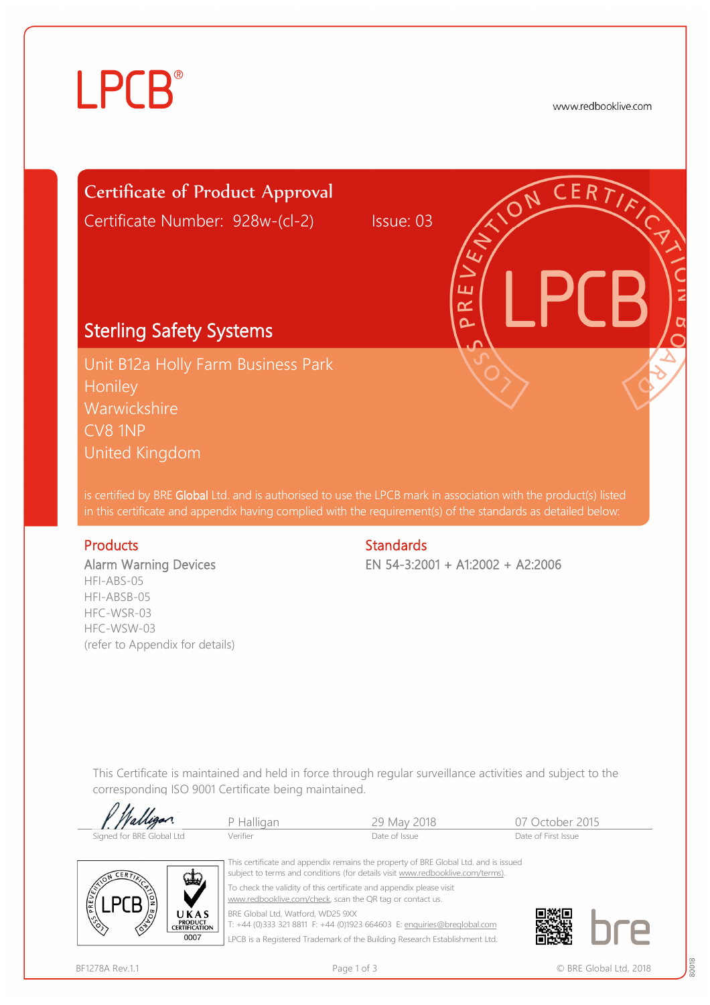# **LPCB**®

www.redbooklive.com

# Certificate of Product Approval

Certificate Number: 928w-(cl-2) Issue: 03

## Sterling Safety Systems

Unit B12a Holly Farm Business Park **Honiley** Warwickshire CV8 1NP United Kingdom

is certified by BRE Global Ltd. and is authorised to use the LPCB mark in association with the product(s) listed in this certificate and appendix having complied with the requirement(s) of the standards as detailed below:

#### Products **Standards**

Alarm Warning Devices HFI-ABS-05 HFI-ABSB-05 HFC-WSR-03 HFC-WSW-03 (refer to Appendix for details)

EN 54-3:2001 + A1:2002 + A2:2006

ய œ Ò

This Certificate is maintained and held in force through regular surveillance activities and subject to the corresponding ISO 9001 Certificate being maintained.

| <i>Malligan</i>           | P Halligan | 29 May 2018   | 07 October 2015     |
|---------------------------|------------|---------------|---------------------|
| Signed for BRE Global Ltd | Verifier   | Date of Issue | Date of First Issue |



 This certificate and appendix remains the property of BRE Global Ltd. and is issued subject to terms and conditions (for details visit [www.redbooklive.com/terms\)](http://www.redbooklive.com/terms)). To check the validity of this certificate and appendix please visit [www.redbooklive.com/check,](http://www.redbooklive.com/check) scan the QR tag or contact us. BRE Global Ltd, Watford, WD25 9XX T: +44 (0)333 321 8811 F: +44 (0)1923 664603 E: [enquiries@breglobal.com](mailto:enquiries@breglobal.com)

LPCB is a Registered Trademark of the Building Research Establishment Ltd.

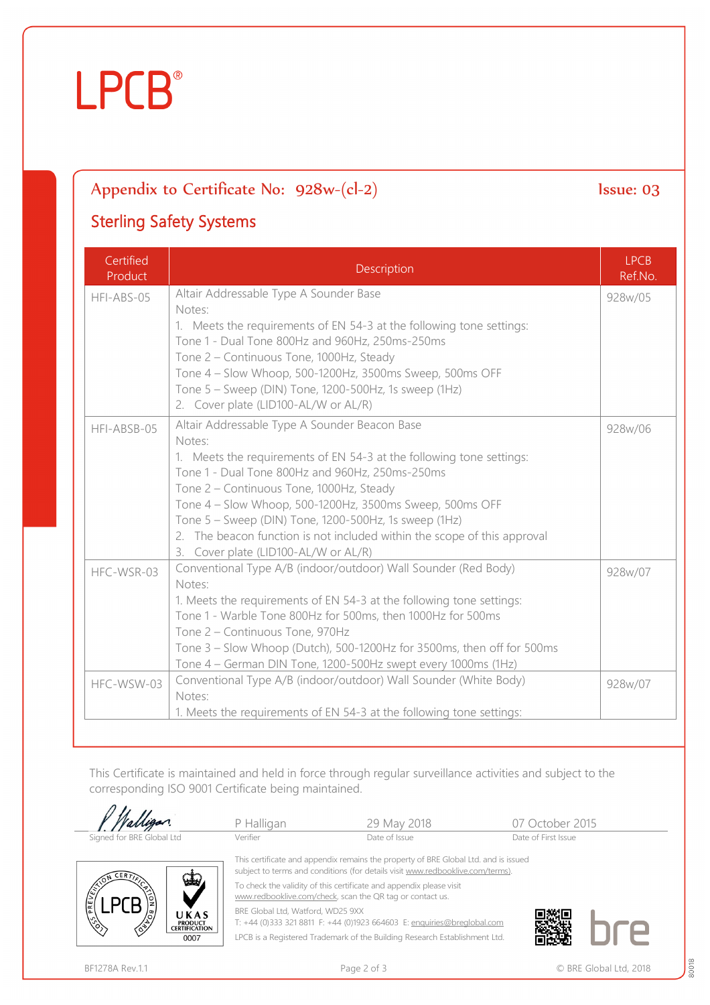# **LPCB**®

### Appendix to Certificate No:  $928w-(c-2)$  Issue: 03

### Sterling Safety Systems

| Certified<br>Product | Description                                                                                                                                                                                                                                                                                                                                                                                                                                                             | <b>LPCB</b><br>Ref.No. |
|----------------------|-------------------------------------------------------------------------------------------------------------------------------------------------------------------------------------------------------------------------------------------------------------------------------------------------------------------------------------------------------------------------------------------------------------------------------------------------------------------------|------------------------|
| HFI-ABS-05           | Altair Addressable Type A Sounder Base<br>Notes:<br>1. Meets the requirements of EN 54-3 at the following tone settings:<br>Tone 1 - Dual Tone 800Hz and 960Hz, 250ms-250ms<br>Tone 2 - Continuous Tone, 1000Hz, Steady<br>Tone 4 - Slow Whoop, 500-1200Hz, 3500ms Sweep, 500ms OFF<br>Tone 5 - Sweep (DIN) Tone, 1200-500Hz, 1s sweep (1Hz)<br>2. Cover plate (LID100-AL/W or AL/R)                                                                                    | 928w/05                |
| HFI-ABSB-05          | Altair Addressable Type A Sounder Beacon Base<br>Notes:<br>1. Meets the requirements of EN 54-3 at the following tone settings:<br>Tone 1 - Dual Tone 800Hz and 960Hz, 250ms-250ms<br>Tone 2 - Continuous Tone, 1000Hz, Steady<br>Tone 4 - Slow Whoop, 500-1200Hz, 3500ms Sweep, 500ms OFF<br>Tone 5 - Sweep (DIN) Tone, 1200-500Hz, 1s sweep (1Hz)<br>2. The beacon function is not included within the scope of this approval<br>3. Cover plate (LID100-AL/W or AL/R) |                        |
| HFC-WSR-03           | Conventional Type A/B (indoor/outdoor) Wall Sounder (Red Body)<br>Notes:<br>1. Meets the requirements of EN 54-3 at the following tone settings:<br>Tone 1 - Warble Tone 800Hz for 500ms, then 1000Hz for 500ms<br>Tone 2 - Continuous Tone, 970Hz<br>Tone 3 - Slow Whoop (Dutch), 500-1200Hz for 3500ms, then off for 500ms<br>Tone 4 – German DIN Tone, 1200-500Hz swept every 1000ms (1Hz)                                                                           |                        |
| HFC-WSW-03           | Conventional Type A/B (indoor/outdoor) Wall Sounder (White Body)<br>Notes:<br>1. Meets the requirements of EN 54-3 at the following tone settings:                                                                                                                                                                                                                                                                                                                      |                        |

This Certificate is maintained and held in force through regular surveillance activities and subject to the corresponding ISO 9001 Certificate being maintained.



80018